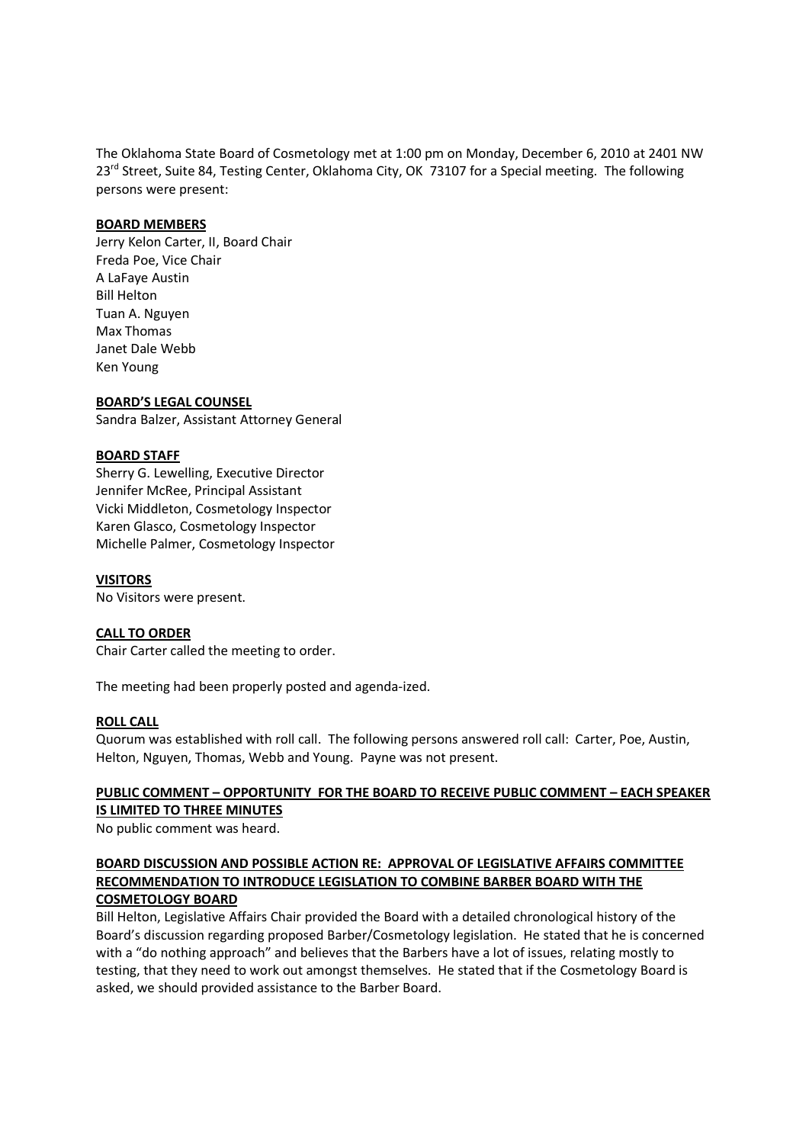The Oklahoma State Board of Cosmetology met at 1:00 pm on Monday, December 6, 2010 at 2401 NW 23<sup>rd</sup> Street, Suite 84, Testing Center, Oklahoma City, OK 73107 for a Special meeting. The following persons were present:

### **BOARD MEMBERS**

Jerry Kelon Carter, II, Board Chair Freda Poe, Vice Chair A LaFaye Austin Bill Helton Tuan A. Nguyen Max Thomas Janet Dale Webb Ken Young

### **BOARD'S LEGAL COUNSEL**

Sandra Balzer, Assistant Attorney General

### **BOARD STAFF**

Sherry G. Lewelling, Executive Director Jennifer McRee, Principal Assistant Vicki Middleton, Cosmetology Inspector Karen Glasco, Cosmetology Inspector Michelle Palmer, Cosmetology Inspector

## **VISITORS**

No Visitors were present.

## **CALL TO ORDER**

Chair Carter called the meeting to order.

The meeting had been properly posted and agenda-ized.

### **ROLL CALL**

Quorum was established with roll call. The following persons answered roll call: Carter, Poe, Austin, Helton, Nguyen, Thomas, Webb and Young. Payne was not present.

# **PUBLIC COMMENT – OPPORTUNITY FOR THE BOARD TO RECEIVE PUBLIC COMMENT – EACH SPEAKER IS LIMITED TO THREE MINUTES**

No public comment was heard.

## **BOARD DISCUSSION AND POSSIBLE ACTION RE: APPROVAL OF LEGISLATIVE AFFAIRS COMMITTEE RECOMMENDATION TO INTRODUCE LEGISLATION TO COMBINE BARBER BOARD WITH THE COSMETOLOGY BOARD**

Bill Helton, Legislative Affairs Chair provided the Board with a detailed chronological history of the Board's discussion regarding proposed Barber/Cosmetology legislation. He stated that he is concerned with a "do nothing approach" and believes that the Barbers have a lot of issues, relating mostly to testing, that they need to work out amongst themselves. He stated that if the Cosmetology Board is asked, we should provided assistance to the Barber Board.